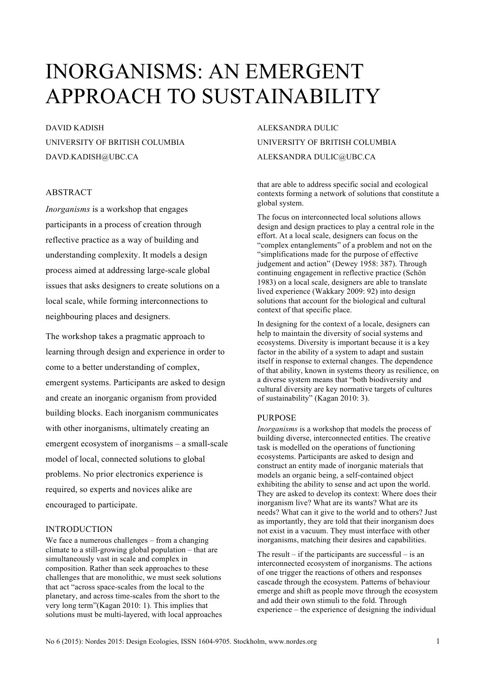# INORGANISMS: AN EMERGENT APPROACH TO SUSTAINABILITY

DAVID KADISH UNIVERSITY OF BRITISH COLUMBIA DAVD.KADISH@UBC.CA

# ABSTRACT

*Inorganisms* is a workshop that engages participants in a process of creation through reflective practice as a way of building and understanding complexity. It models a design process aimed at addressing large-scale global issues that asks designers to create solutions on a local scale, while forming interconnections to neighbouring places and designers.

The workshop takes a pragmatic approach to learning through design and experience in order to come to a better understanding of complex, emergent systems. Participants are asked to design and create an inorganic organism from provided building blocks. Each inorganism communicates with other inorganisms, ultimately creating an emergent ecosystem of inorganisms – a small-scale model of local, connected solutions to global problems. No prior electronics experience is required, so experts and novices alike are encouraged to participate.

# INTRODUCTION

We face a numerous challenges – from a changing climate to a still-growing global population – that are simultaneously vast in scale and complex in composition. Rather than seek approaches to these challenges that are monolithic, we must seek solutions that act "across space-scales from the local to the planetary, and across time-scales from the short to the very long term"(Kagan 2010: 1). This implies that solutions must be multi-layered, with local approaches

# ALEKSANDRA DULIC UNIVERSITY OF BRITISH COLUMBIA ALEKSANDRA DULIC@UBC.CA

that are able to address specific social and ecological contexts forming a network of solutions that constitute a global system.

The focus on interconnected local solutions allows design and design practices to play a central role in the effort. At a local scale, designers can focus on the "complex entanglements" of a problem and not on the "simplifications made for the purpose of effective judgement and action" (Dewey 1958: 387). Through continuing engagement in reflective practice (Schön 1983) on a local scale, designers are able to translate lived experience (Wakkary 2009: 92) into design solutions that account for the biological and cultural context of that specific place.

In designing for the context of a locale, designers can help to maintain the diversity of social systems and ecosystems. Diversity is important because it is a key factor in the ability of a system to adapt and sustain itself in response to external changes. The dependence of that ability, known in systems theory as resilience, on a diverse system means that "both biodiversity and cultural diversity are key normative targets of cultures of sustainability" (Kagan 2010: 3).

# PURPOSE

*Inorganisms* is a workshop that models the process of building diverse, interconnected entities. The creative task is modelled on the operations of functioning ecosystems. Participants are asked to design and construct an entity made of inorganic materials that models an organic being, a self-contained object exhibiting the ability to sense and act upon the world. They are asked to develop its context: Where does their inorganism live? What are its wants? What are its needs? What can it give to the world and to others? Just as importantly, they are told that their inorganism does not exist in a vacuum. They must interface with other inorganisms, matching their desires and capabilities.

The result – if the participants are successful – is an interconnected ecosystem of inorganisms. The actions of one trigger the reactions of others and responses cascade through the ecosystem. Patterns of behaviour emerge and shift as people move through the ecosystem and add their own stimuli to the fold. Through experience – the experience of designing the individual